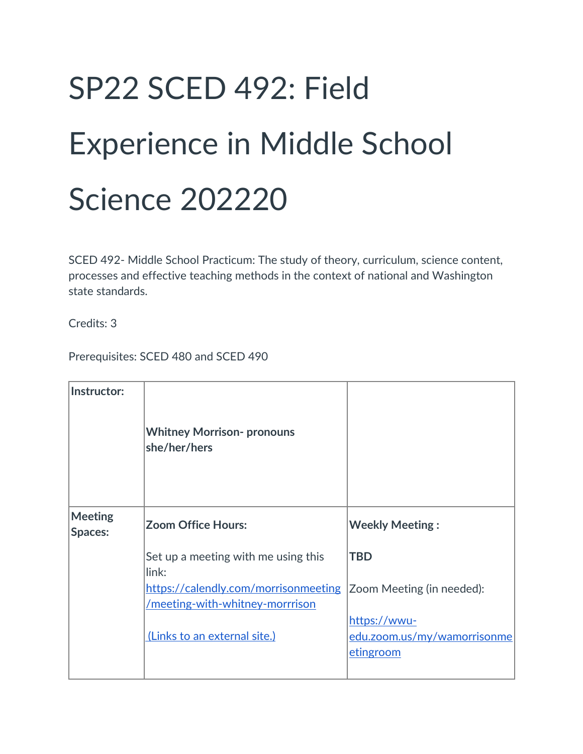# SP22 SCED 492: Field Experience in Middle School Science 202220

SCED 492- Middle School Practicum: The study of theory, curriculum, science content, processes and effective teaching methods in the context of national and Washington state standards.

Credits: 3

Prerequisites: SCED 480 and SCED 490

| Instructor:               | <b>Whitney Morrison- pronouns</b><br>she/her/hers                       |                                                          |
|---------------------------|-------------------------------------------------------------------------|----------------------------------------------------------|
| <b>Meeting</b><br>Spaces: | <b>Zoom Office Hours:</b>                                               | <b>Weekly Meeting:</b>                                   |
|                           | Set up a meeting with me using this<br>link:                            | <b>TBD</b>                                               |
|                           | https://calendly.com/morrisonmeeting<br>/meeting-with-whitney-morrrison | Zoom Meeting (in needed):                                |
|                           | (Links to an external site.)                                            | https://wwu-<br>edu.zoom.us/my/wamorrisonme<br>etingroom |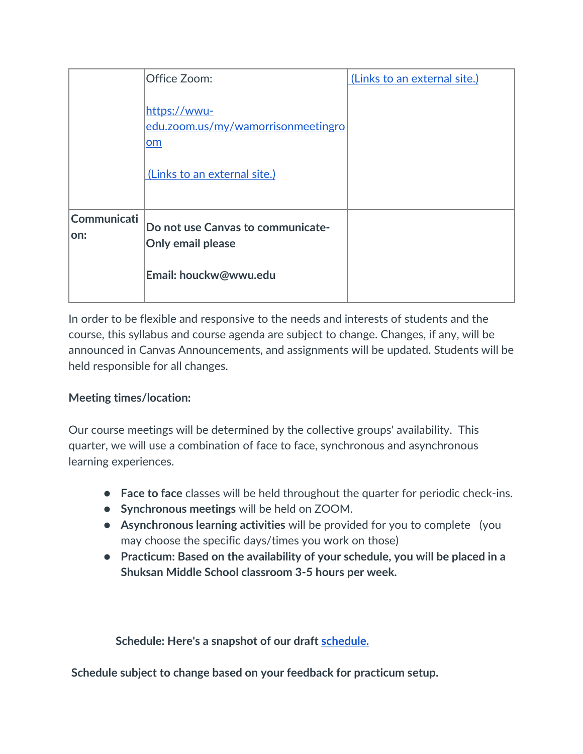|                     | Office Zoom:                                                                             | (Links to an external site.) |
|---------------------|------------------------------------------------------------------------------------------|------------------------------|
|                     | https://wwu-<br>edu.zoom.us/my/wamorrisonmeetingro<br>om<br>(Links to an external site.) |                              |
| Communicati<br>lon: | Do not use Canvas to communicate-<br>Only email please<br>Email: houckw@wwu.edu          |                              |

In order to be flexible and responsive to the needs and interests of students and the course, this syllabus and course agenda are subject to change. Changes, if any, will be announced in Canvas Announcements, and assignments will be updated. Students will be held responsible for all changes.

#### **Meeting times/location:**

Our course meetings will be determined by the collective groups' availability. This quarter, we will use a combination of face to face, synchronous and asynchronous learning experiences.

- **Face to face** classes will be held throughout the quarter for periodic check-ins.
- **Synchronous meetings** will be held on ZOOM.
- **Asynchronous learning activities** will be provided for you to complete (you may choose the specific days/times you work on those)
- **Practicum: Based on the availability of your schedule, you will be placed in a Shuksan Middle School classroom 3-5 hours per week.**

**Schedule: Here's a snapshot of our draft [schedule.](https://docs.google.com/document/d/1fZbdGv6HzjXzrJaCzKReuCOE13J5ZsNlAX9GnY1KGkU/edit)** 

**Schedule subject to change based on your feedback for practicum setup.**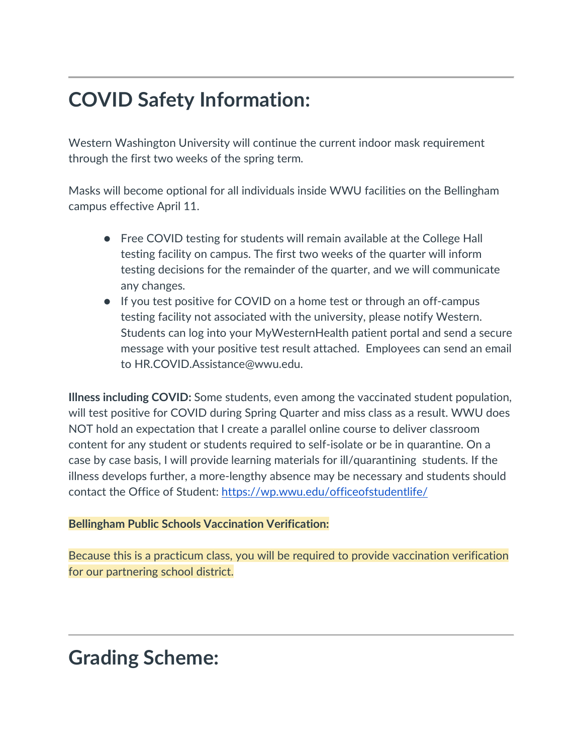# **COVID Safety Information:**

Western Washington University will continue the current indoor mask requirement through the first two weeks of the spring term.

Masks will become optional for all individuals inside WWU facilities on the Bellingham campus effective April 11.

- Free COVID testing for students will remain available at the College Hall testing facility on campus. The first two weeks of the quarter will inform testing decisions for the remainder of the quarter, and we will communicate any changes.
- If you test positive for COVID on a home test or through an off-campus testing facility not associated with the university, please notify Western. Students can log into your MyWesternHealth patient portal and send a secure message with your positive test result attached. Employees can send an email to HR.COVID.Assistance@wwu.edu.

**Illness including COVID:** Some students, even among the vaccinated student population, will test positive for COVID during Spring Quarter and miss class as a result. WWU does NOT hold an expectation that I create a parallel online course to deliver classroom content for any student or students required to self-isolate or be in quarantine. On a case by case basis, I will provide learning materials for ill/quarantining students. If the illness develops further, a more-lengthy absence may be necessary and students should contact the Office of Student:<https://wp.wwu.edu/officeofstudentlife/>

#### **Bellingham Public Schools Vaccination Verification:**

Because this is a practicum class, you will be required to provide vaccination verification for our partnering school district.

### **Grading Scheme:**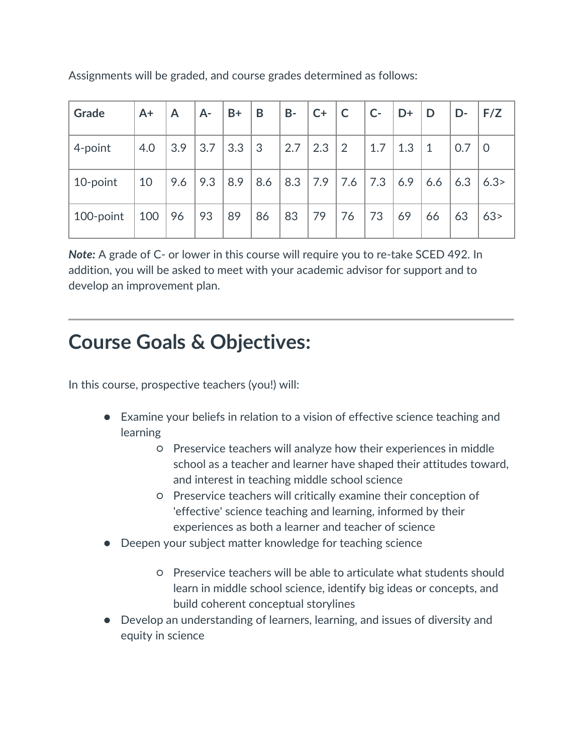| Grade     | $A+$ | A   | $A -$ | $B+$         | B   | $B -$ | $C+$ | $\overline{C}$  | $C-$ | $\overline{D}$ | D         | D-  | F/Z  |
|-----------|------|-----|-------|--------------|-----|-------|------|-----------------|------|----------------|-----------|-----|------|
| 4-point   | 4.0  | 3.9 | 3.7   | $3.3 \mid 3$ |     | 2.7   | 2.3  | $\vert 2 \vert$ | 1.7  | 1.3            | $\vert$ 1 | 0.7 | l 0  |
| 10-point  | 10   | 9.6 | 9.3   | 8.9          | 8.6 | 8.3   |      | 7.9 7.6         | 7.3  | 6.9            | 6.6       | 6.3 | 6.3> |
| 100-point | 100  | 96  | 93    | 89           | 86  | 83    | 79   | 76              | 73   | 69             | 66        | 63  | 63>  |

Assignments will be graded, and course grades determined as follows:

*Note:* A grade of C- or lower in this course will require you to re-take SCED 492. In addition, you will be asked to meet with your academic advisor for support and to develop an improvement plan.

## **Course Goals & Objectives:**

In this course, prospective teachers (you!) will:

- Examine your beliefs in relation to a vision of effective science teaching and learning
	- Preservice teachers will analyze how their experiences in middle school as a teacher and learner have shaped their attitudes toward, and interest in teaching middle school science
	- Preservice teachers will critically examine their conception of 'effective' science teaching and learning, informed by their experiences as both a learner and teacher of science
- Deepen your subject matter knowledge for teaching science
	- Preservice teachers will be able to articulate what students should learn in middle school science, identify big ideas or concepts, and build coherent conceptual storylines
- Develop an understanding of learners, learning, and issues of diversity and equity in science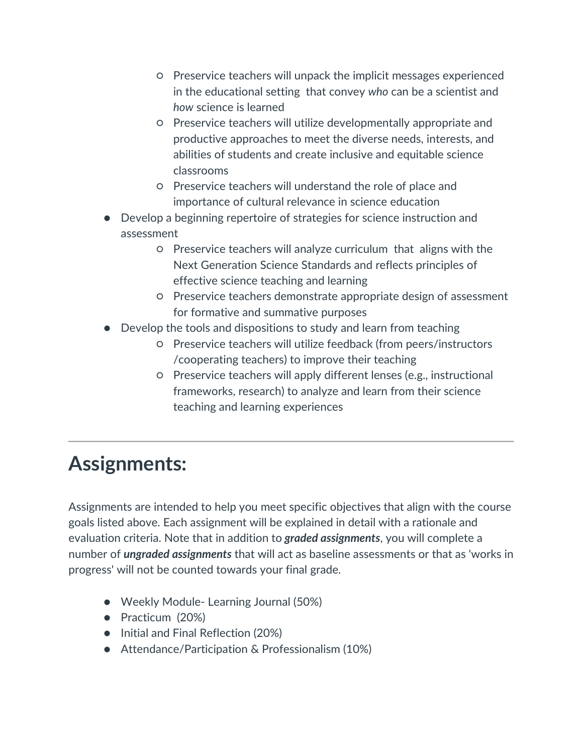- Preservice teachers will unpack the implicit messages experienced in the educational setting that convey *who* can be a scientist and *how* science is learned
- Preservice teachers will utilize developmentally appropriate and productive approaches to meet the diverse needs, interests, and abilities of students and create inclusive and equitable science classrooms
- Preservice teachers will understand the role of place and importance of cultural relevance in science education
- Develop a beginning repertoire of strategies for science instruction and assessment
	- Preservice teachers will analyze curriculum that aligns with the Next Generation Science Standards and reflects principles of effective science teaching and learning
	- Preservice teachers demonstrate appropriate design of assessment for formative and summative purposes
- Develop the tools and dispositions to study and learn from teaching
	- Preservice teachers will utilize feedback (from peers/instructors /cooperating teachers) to improve their teaching
	- Preservice teachers will apply different lenses (e.g., instructional frameworks, research) to analyze and learn from their science teaching and learning experiences

# **Assignments:**

Assignments are intended to help you meet specific objectives that align with the course goals listed above. Each assignment will be explained in detail with a rationale and evaluation criteria. Note that in addition to *graded assignments*, you will complete a number of *ungraded assignments* that will act as baseline assessments or that as 'works in progress' will not be counted towards your final grade.

- Weekly Module- Learning Journal (50%)
- Practicum (20%)
- Initial and Final Reflection (20%)
- Attendance/Participation & Professionalism (10%)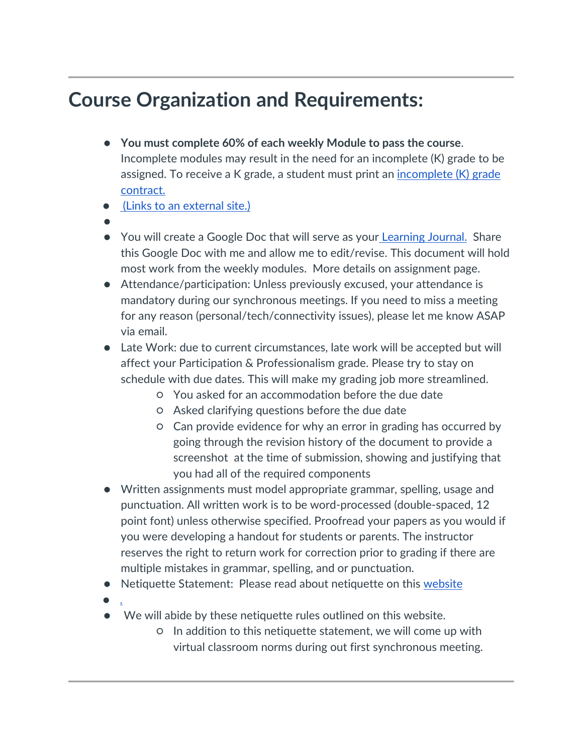# **Course Organization and Requirements:**

- **You must complete 60% of each weekly Module to pass the course**. Incomplete modules may result in the need for an incomplete (K) grade to be assigned. To receive a K grade, a student must print an [incomplete \(K\) grade](https://wce.wwu.edu/rc/forms)  [contract.](https://wce.wwu.edu/rc/forms)
- [\(Links to an external site.\)](https://wce.wwu.edu/rc/forms)
- ●
- You will create a Google Doc that will serve as your [Learning Journal.](https://wwu.instructure.com/courses/1505303/assignments/6855995) Share this Google Doc with me and allow me to edit/revise. This document will hold most work from the weekly modules. More details on assignment page.
- Attendance/participation: Unless previously excused, your attendance is mandatory during our synchronous meetings. If you need to miss a meeting for any reason (personal/tech/connectivity issues), please let me know ASAP via email.
- Late Work: due to current circumstances, late work will be accepted but will affect your Participation & Professionalism grade. Please try to stay on schedule with due dates. This will make my grading job more streamlined.
	- You asked for an accommodation before the due date
	- Asked clarifying questions before the due date
	- Can provide evidence for why an error in grading has occurred by going through the revision history of the document to provide a screenshot at the time of submission, showing and justifying that you had all of the required components
- Written assignments must model appropriate grammar, spelling, usage and punctuation. All written work is to be word-processed (double-spaced, 12 point font) unless otherwise specified. Proofread your papers as you would if you were developing a handout for students or parents. The instructor reserves the right to return work for correction prior to grading if there are multiple mistakes in grammar, spelling, and or punctuation.
- Netiquette Statement: Please read about netiquette on this [website](http://www.albion.com/netiquette/corerules.html)
- $\bullet$  [.](http://www.albion.com/netiquette/corerules.html)
- We will abide by these netiquette rules outlined on this website.
	- In addition to this netiquette statement, we will come up with virtual classroom norms during out first synchronous meeting.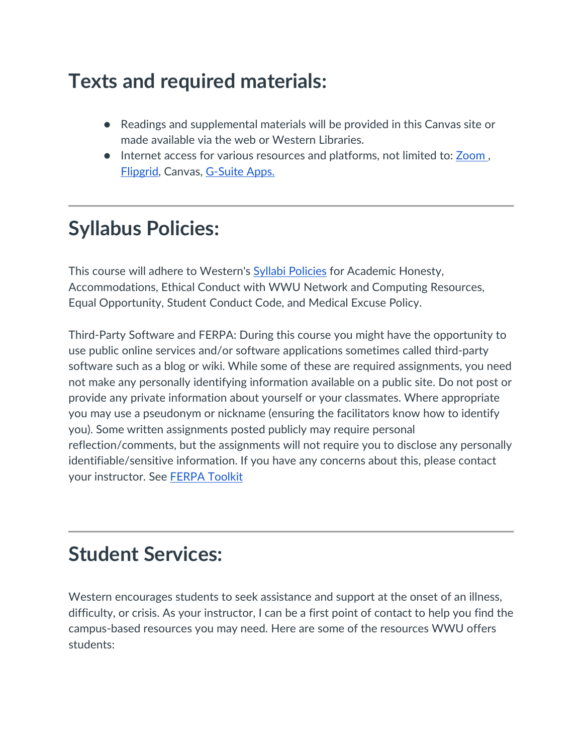# **Texts and required materials:**

- Readings and supplemental materials will be provided in this Canvas site or made available via the web or Western Libraries.
- Internet access for various resources and platforms, not limited to: **Zoom**, [Flipgrid,](https://info.flipgrid.com/) Canvas, [G-Suite Apps.](https://gsuite.google.com/?utm_source=google&utm_medium=cpc&utm_campaign=na-US-all-en-dr-bkws-all-all-trial-e-dr-1008072&utm_content=text-ad-none-any-DEV_c-CRE_331696211006-ADGP_Hybrid%20%7C%20AW%20SEM%20%7C%20BKWS%20%7E%20EXA%20%2F%2F%20GSuite%20%5B1:1%5D%20GSuite-KWID_43700015362134797-kwd-74870110717&utm_term=KW_gsuite-ST_gsuite&gclid=Cj0KCQjwyPbzBRDsARIsAFh15JZcNFuzHyeD6SpoVAhnqO6Vlsc1S_A-F4EInRbcDInGFv6f5Hh9YkUaAt8xEALw_wcB&gclsrc=aw.ds)

# **Syllabus Policies:**

This course will adhere to Western's **Syllabi Policies** for Academic Honesty, Accommodations, Ethical Conduct with WWU Network and Computing Resources, Equal Opportunity, Student Conduct Code, and Medical Excuse Policy.

Third-Party Software and FERPA: During this course you might have the opportunity to use public online services and/or software applications sometimes called third-party software such as a blog or wiki. While some of these are required assignments, you need not make any personally identifying information available on a public site. Do not post or provide any private information about yourself or your classmates. Where appropriate you may use a pseudonym or nickname (ensuring the facilitators know how to identify you). Some written assignments posted publicly may require personal reflection/comments, but the assignments will not require you to disclose any personally identifiable/sensitive information. If you have any concerns about this, please contact your instructor. See [FERPA Toolkit](https://www.wwu.edu/teachinghandbook/resources_support/ferpa_toolkit.shtml)

### **Student Services:**

Western encourages students to seek assistance and support at the onset of an illness, difficulty, or crisis. As your instructor, I can be a first point of contact to help you find the campus-based resources you may need. Here are some of the resources WWU offers students: